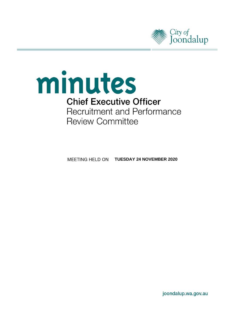

# minutes **Chief Executive Officer Recruitment and Performance Review Committee**

**MEETING HELD ON TUESDAY 24 NOVEMBER 2020** 

joondalup.wa.gov.au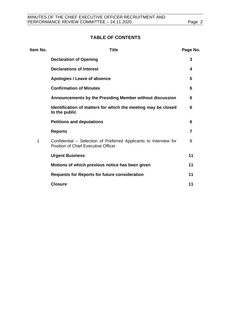# **TABLE OF CONTENTS**

| Item No. | <b>Title</b>                                                                                                    | Page No. |
|----------|-----------------------------------------------------------------------------------------------------------------|----------|
|          | <b>Declaration of Opening</b>                                                                                   | 3        |
|          | <b>Declarations of Interest</b>                                                                                 | 4        |
|          | Apologies / Leave of absence                                                                                    | 5        |
|          | <b>Confirmation of Minutes</b>                                                                                  | 6        |
|          | Announcements by the Presiding Member without discussion                                                        | 6        |
|          | Identification of matters for which the meeting may be closed<br>to the public                                  | 6        |
|          | <b>Petitions and deputations</b>                                                                                | 6        |
|          | <b>Reports</b>                                                                                                  | 7        |
| 1        | Confidential - Selection of Preferred Applicants to Interview for<br><b>Position of Chief Executive Officer</b> | 8        |
|          | <b>Urgent Business</b>                                                                                          | 11       |
|          | Motions of which previous notice has been given                                                                 | 11       |
|          | <b>Requests for Reports for future consideration</b>                                                            | 11       |
|          | <b>Closure</b>                                                                                                  | 11       |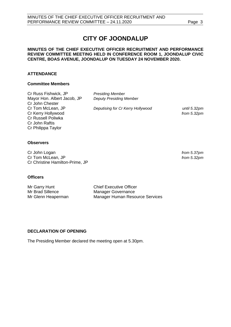# **CITY OF JOONDALUP**

### **MINUTES OF THE CHIEF EXECUTIVE OFFICER RECRUITMENT AND PERFORMANCE REVIEW COMMITTEE MEETING HELD IN CONFERENCE ROOM 1, JOONDALUP CIVIC CENTRE, BOAS AVENUE, JOONDALUP ON TUESDAY 24 NOVEMBER 2020.**

### **ATTENDANCE**

### **Committee Members**

Cr Russ Fishwick, JP *Presiding Member* Mayor Hon. Albert Jacob, JP *Deputy Presiding Member* Cr John Chester<br>Cr Tom McLean, JP Cr Kerry Hollywood *from 5.32pm* Cr Russell Poliwka Cr John Raftis Cr Philippa Taylor

Deputising for Cr Kerry Hollywood *until 5.32pm* 

### **Observers**

Cr John Logan *from 5.37pm* Cr Tom McLean, JP *from 5.32pm* Cr Christine Hamilton-Prime, JP

### **Officers**

Mr Garry Hunt Chief Executive Officer Mr Brad Sillence Manager Governance Mr Glenn Heaperman Manager Human Resource Services

### <span id="page-2-0"></span>**DECLARATION OF OPENING**

<span id="page-2-1"></span>The Presiding Member declared the meeting open at 5.30pm.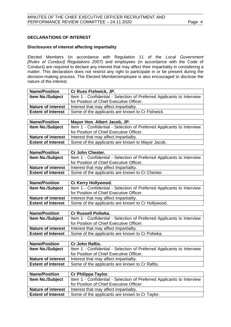### **DECLARATIONS OF INTEREST**

### **Disclosures of interest affecting impartiality**

Elected Members (in accordance with Regulation 11 of the *Local Government [Rules of Conduct] Regulations 2007)* and employees (in accordance with the Code of Conduct) are required to declare any interest that may affect their impartiality in considering a matter. This declaration does not restrict any right to participate in or be present during the decision-making process. The Elected Member/employee is also encouraged to disclose the nature of the interest.

| <b>Name/Position</b>      | <b>Cr Russ Fishwick, JP.</b>                                           |  |
|---------------------------|------------------------------------------------------------------------|--|
| <b>Item No./Subject</b>   | Item 1 - Confidential - Selection of Preferred Applicants to Interview |  |
|                           | for Position of Chief Executive Officer.                               |  |
| <b>Nature of interest</b> | Interest that may affect impartiality.                                 |  |
| <b>Extent of Interest</b> | Some of the applicants are known to Cr Fishwick.                       |  |

| <b>Name/Position</b>      | Mayor Hon. Albert Jacob, JP.                                           |  |
|---------------------------|------------------------------------------------------------------------|--|
| <b>Item No./Subject</b>   | Item 1 - Confidential - Selection of Preferred Applicants to Interview |  |
|                           | for Position of Chief Executive Officer.                               |  |
| <b>Nature of interest</b> | Interest that may affect impartiality.                                 |  |
| <b>Extent of Interest</b> | Some of the applicants are known to Mayor Jacob.                       |  |

| <b>Name/Position</b>      | <b>Cr John Chester.</b>                                                |  |
|---------------------------|------------------------------------------------------------------------|--|
| <b>Item No./Subject</b>   | Item 1 - Confidential - Selection of Preferred Applicants to Interview |  |
|                           | for Position of Chief Executive Officer.                               |  |
| <b>Nature of interest</b> | Interest that may affect impartiality.                                 |  |
| <b>Extent of Interest</b> | Some of the applicants are known to Cr Chester.                        |  |
|                           |                                                                        |  |

| <b>Name/Position</b>      | Cr Kerry Hollywood.                                                    |  |
|---------------------------|------------------------------------------------------------------------|--|
| <b>Item No./Subject</b>   | Item 1 - Confidential - Selection of Preferred Applicants to Interview |  |
|                           | for Position of Chief Executive Officer.                               |  |
| <b>Nature of interest</b> | Interest that may affect impartiality.                                 |  |
| <b>Extent of Interest</b> | Some of the applicants are known to Cr Hollywood.                      |  |
|                           |                                                                        |  |

| <b>Name/Position</b>      | <b>Cr Russell Poliwka.</b>                                             |  |
|---------------------------|------------------------------------------------------------------------|--|
| <b>Item No./Subject</b>   | Item 1 - Confidential - Selection of Preferred Applicants to Interview |  |
|                           | for Position of Chief Executive Officer.                               |  |
| <b>Nature of interest</b> | Interest that may affect impartiality.                                 |  |
| <b>Extent of Interest</b> | Some of the applicants are known to Cr Poliwka.                        |  |

| <b>Name/Position</b>      | <b>Cr John Raftis.</b>                                                 |  |
|---------------------------|------------------------------------------------------------------------|--|
| <b>Item No./Subject</b>   | Item 1 - Confidential - Selection of Preferred Applicants to Interview |  |
|                           | for Position of Chief Executive Officer.                               |  |
| <b>Nature of interest</b> | Interest that may affect impartiality.                                 |  |
| <b>Extent of Interest</b> | Some of the applicants are known to Cr Raftis.                         |  |

| <b>Name/Position</b>      | Cr Philippa Taylor.                                                    |  |
|---------------------------|------------------------------------------------------------------------|--|
| <b>Item No./Subject</b>   | Item 1 - Confidential - Selection of Preferred Applicants to Interview |  |
|                           | for Position of Chief Executive Officer.                               |  |
| <b>Nature of interest</b> | Interest that may affect impartiality.                                 |  |
| <b>Extent of Interest</b> | Some of the applicants are known to Cr Taylor.                         |  |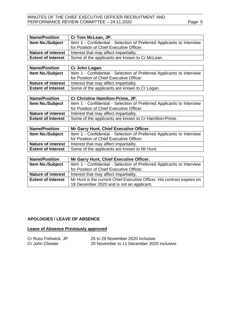### MINUTES OF THE CHIEF EXECUTIVE OFFICER RECRUITMENT AND PERFORMANCE REVIEW COMMITTEE - 24.11.2020 Page 5

| <b>Name/Position</b>      | Cr Tom McLean, JP.                                                      |  |
|---------------------------|-------------------------------------------------------------------------|--|
| Item No./Subject          | Item 1 - Confidential - Selection of Preferred Applicants to Interview  |  |
|                           | for Position of Chief Executive Officer.                                |  |
| <b>Nature of interest</b> | Interest that may affect impartiality.                                  |  |
| <b>Extent of Interest</b> | Some of the applicants are known to Cr McLean.                          |  |
|                           |                                                                         |  |
| <b>Name/Position</b>      | Cr John Logan.                                                          |  |
| Item No./Subject          | Item 1 - Confidential - Selection of Preferred Applicants to Interview  |  |
|                           | for Position of Chief Executive Officer.                                |  |
| <b>Nature of interest</b> | Interest that may affect impartiality.                                  |  |
| <b>Extent of Interest</b> | Some of the applicants are known to Cr Logan.                           |  |
|                           |                                                                         |  |
| <b>Name/Position</b>      | Cr Christine Hamilton-Prime, JP.                                        |  |
| <b>Item No./Subject</b>   | Item 1 - Confidential - Selection of Preferred Applicants to Interview  |  |
|                           | for Position of Chief Executive Officer.                                |  |
| <b>Nature of interest</b> | Interest that may affect impartiality.                                  |  |
| <b>Extent of Interest</b> | Some of the applicants are known to Cr Hamilton-Prime.                  |  |
|                           |                                                                         |  |
| <b>Name/Position</b>      | Mr Garry Hunt, Chief Executive Officer.                                 |  |
| <b>Item No./Subject</b>   | Item 1 - Confidential - Selection of Preferred Applicants to Interview  |  |
|                           | for Position of Chief Executive Officer.                                |  |
| <b>Nature of interest</b> | Interest that may affect impartiality.                                  |  |
| <b>Extent of Interest</b> | Some of the applicants are known to Mr Hunt.                            |  |
|                           |                                                                         |  |
| <b>Name/Position</b>      | Mr Garry Hunt, Chief Executive Officer.                                 |  |
| Item No./Subject          | Item 1 - Confidential - Selection of Preferred Applicants to Interview  |  |
|                           | for Position of Chief Executive Officer.                                |  |
| <b>Nature of interest</b> | Interest that may affect impartiality.                                  |  |
| <b>Extent of Interest</b> | Mr Hunt is the current Chief Executive Officer. His contract expires on |  |
|                           | 18 December 2020 and is not an applicant.                               |  |

### <span id="page-4-0"></span>**APOLOGIES / LEAVE OF ABSENCE**

### **Leave of Absence Previously approved**

<span id="page-4-1"></span>

| Cr Russ Fishwick, JP | 25 to 29 November 2020 inclusive.          |
|----------------------|--------------------------------------------|
| Cr John Chester      | 20 November to 11 December 2020 inclusive. |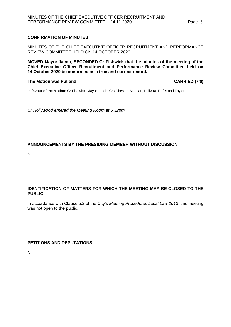### **CONFIRMATION OF MINUTES**

MINUTES OF THE CHIEF EXECUTIVE OFFICER RECRUITMENT AND PERFORMANCE REVIEW COMMITTEE HELD ON 14 OCTOBER 2020

**MOVED Mayor Jacob, SECONDED Cr Fishwick that the minutes of the meeting of the Chief Executive Officer Recruitment and Performance Review Committee held on 14 October 2020 be confirmed as a true and correct record.**

### **The Motion was Put and CARRIED (7/0)**

**In favour of the Motion:** Cr Fishwick, Mayor Jacob, Crs Chester, McLean, Poliwka, Raftis and Taylor.

*Cr Hollywood entered the Meeting Room at 5.32pm.* 

### **ANNOUNCEMENTS BY THE PRESIDING MEMBER WITHOUT DISCUSSION**

Nil.

### <span id="page-5-0"></span>**IDENTIFICATION OF MATTERS FOR WHICH THE MEETING MAY BE CLOSED TO THE PUBLIC**

In accordance with Clause 5.2 of the City's *Meeting Procedures Local Law 2013*, this meeting was not open to the public.

<span id="page-5-1"></span>**PETITIONS AND DEPUTATIONS**

Nil.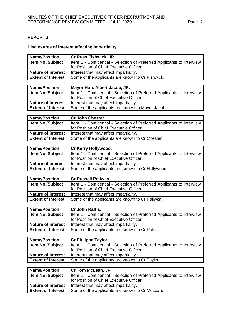# <span id="page-6-0"></span>**REPORTS**

## **Disclosures of interest affecting impartiality**

| <b>Name/Position</b>      | Cr Russ Fishwick, JP.                                                  |  |  |
|---------------------------|------------------------------------------------------------------------|--|--|
| <b>Item No./Subject</b>   | Item 1 - Confidential - Selection of Preferred Applicants to Interview |  |  |
|                           | for Position of Chief Executive Officer.                               |  |  |
| <b>Nature of interest</b> | Interest that may affect impartiality.                                 |  |  |
| <b>Extent of Interest</b> | Some of the applicants are known to Cr Fishwick.                       |  |  |
|                           |                                                                        |  |  |
| <b>Name/Position</b>      | Mayor Hon. Albert Jacob, JP.                                           |  |  |
| Item No./Subject          | Item 1 - Confidential - Selection of Preferred Applicants to Interview |  |  |
|                           | for Position of Chief Executive Officer.                               |  |  |
| <b>Nature of interest</b> | Interest that may affect impartiality.                                 |  |  |
| <b>Extent of Interest</b> | Some of the applicants are known to Mayor Jacob.                       |  |  |
|                           |                                                                        |  |  |
| <b>Name/Position</b>      | <b>Cr John Chester.</b>                                                |  |  |
| Item No./Subject          | Item 1 - Confidential - Selection of Preferred Applicants to Interview |  |  |
|                           | for Position of Chief Executive Officer.                               |  |  |
| <b>Nature of interest</b> | Interest that may affect impartiality.                                 |  |  |
| <b>Extent of Interest</b> | Some of the applicants are known to Cr Chester.                        |  |  |
|                           |                                                                        |  |  |
| <b>Name/Position</b>      | Cr Kerry Hollywood.                                                    |  |  |
| <b>Item No./Subject</b>   | Item 1 - Confidential - Selection of Preferred Applicants to Interview |  |  |

| <b>Item No./Subject</b>   | Item 1 - Confidential - Selection of Preferred Applicants to Interview        |  |
|---------------------------|-------------------------------------------------------------------------------|--|
|                           | for Position of Chief Executive Officer.                                      |  |
| <b>Nature of interest</b> | Interest that may affect impartiality.                                        |  |
|                           | <b>Extent of Interest</b>   Some of the applicants are known to Cr Hollywood. |  |

| <b>Name/Position</b>      | <b>Cr Russell Poliwka.</b>                                             |  |  |
|---------------------------|------------------------------------------------------------------------|--|--|
| <b>Item No./Subject</b>   | Item 1 - Confidential - Selection of Preferred Applicants to Interview |  |  |
|                           | for Position of Chief Executive Officer.                               |  |  |
| <b>Nature of interest</b> | Interest that may affect impartiality.                                 |  |  |
| <b>Extent of Interest</b> | Some of the applicants are known to Cr Poliwka.                        |  |  |

| <b>Name/Position</b>      | <b>Cr John Raftis.</b>                                                 |  |  |
|---------------------------|------------------------------------------------------------------------|--|--|
| <b>Item No./Subject</b>   | Item 1 - Confidential - Selection of Preferred Applicants to Interview |  |  |
|                           | for Position of Chief Executive Officer.                               |  |  |
| <b>Nature of interest</b> | Interest that may affect impartiality.                                 |  |  |
| <b>Extent of Interest</b> | Some of the applicants are known to Cr Raftis.                         |  |  |

| <b>Name/Position</b>      | Cr Philippa Taylor.                                                    |  |  |
|---------------------------|------------------------------------------------------------------------|--|--|
| Item No./Subject          | Item 1 - Confidential - Selection of Preferred Applicants to Interview |  |  |
|                           | for Position of Chief Executive Officer.                               |  |  |
| <b>Nature of interest</b> | Interest that may affect impartiality.                                 |  |  |
| <b>Extent of Interest</b> | Some of the applicants are known to Cr Taylor.                         |  |  |

| <b>Name/Position</b>      | Cr Tom McLean, JP.                                                     |  |  |
|---------------------------|------------------------------------------------------------------------|--|--|
| <b>Item No./Subject</b>   | Item 1 - Confidential - Selection of Preferred Applicants to Interview |  |  |
|                           | for Position of Chief Executive Officer.                               |  |  |
| <b>Nature of interest</b> | Interest that may affect impartiality.                                 |  |  |
| <b>Extent of Interest</b> | Some of the applicants are known to Cr McLean.                         |  |  |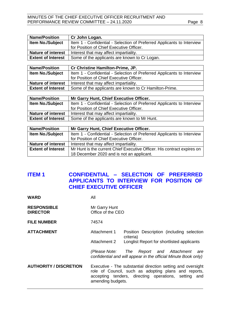### MINUTES OF THE CHIEF EXECUTIVE OFFICER RECRUITMENT AND PERFORMANCE REVIEW COMMITTEE - 24.11.2020

|--|--|

| <b>Name/Position</b>      | Cr John Logan.                                                         |  |  |
|---------------------------|------------------------------------------------------------------------|--|--|
| Item No./Subject          | Item 1 - Confidential - Selection of Preferred Applicants to Interview |  |  |
|                           | for Position of Chief Executive Officer.                               |  |  |
| <b>Nature of interest</b> | Interest that may affect impartiality.                                 |  |  |
| <b>Extent of Interest</b> | Some of the applicants are known to Cr Logan.                          |  |  |
|                           |                                                                        |  |  |
| <b>Name/Position</b>      | <b>Cr Christine Hamilton-Prime, JP.</b>                                |  |  |
| <b>Item No./Subject</b>   | Item 1 - Confidential - Selection of Preferred Applicants to Interview |  |  |
|                           | for Position of Chief Executive Officer.                               |  |  |
| <b>Nature of interest</b> | Interest that may affect impartiality.                                 |  |  |
| <b>Extent of Interest</b> | Some of the applicants are known to Cr Hamilton-Prime.                 |  |  |
|                           |                                                                        |  |  |
| <b>Name/Position</b>      | Mr Garry Hunt, Chief Executive Officer.                                |  |  |
| Item No./Subject          | Item 1 - Confidential - Selection of Preferred Applicants to Interview |  |  |
|                           | for Position of Chief Executive Officer.                               |  |  |
| <b>Nature of interest</b> | Interest that may affect impartiality.                                 |  |  |
| <b>Extent of Interest</b> | Some of the applicants are known to Mr Hunt.                           |  |  |

| <b>Name/Position</b>      | Mr Garry Hunt, Chief Executive Officer.                                 |  |  |
|---------------------------|-------------------------------------------------------------------------|--|--|
| <b>Item No./Subject</b>   | Item 1 - Confidential - Selection of Preferred Applicants to Interview  |  |  |
|                           | for Position of Chief Executive Officer.                                |  |  |
| <b>Nature of interest</b> | Interest that may affect impartiality.                                  |  |  |
| <b>Extent of Interest</b> | Mr Hunt is the current Chief Executive Officer. His contract expires on |  |  |
|                           | 18 December 2020 and is not an applicant.                               |  |  |

# <span id="page-7-0"></span>**ITEM 1 CONFIDENTIAL – SELECTION OF PREFERRED APPLICANTS TO INTERVIEW FOR POSITION OF CHIEF EXECUTIVE OFFICER**

| <b>WARD</b>                           | All                                                                                                                                                                                              |                                                                                                |  |
|---------------------------------------|--------------------------------------------------------------------------------------------------------------------------------------------------------------------------------------------------|------------------------------------------------------------------------------------------------|--|
| <b>RESPONSIBLE</b><br><b>DIRECTOR</b> | Mr Garry Hunt<br>Office of the CEO                                                                                                                                                               |                                                                                                |  |
| <b>FILE NUMBER</b>                    | 74574                                                                                                                                                                                            |                                                                                                |  |
| <b>ATTACHMENT</b>                     | Attachment 1                                                                                                                                                                                     | Position Description (including selection<br>criteria)                                         |  |
|                                       | Attachment 2                                                                                                                                                                                     | Longlist Report for shortlisted applicants                                                     |  |
|                                       | (Please Note:  The                                                                                                                                                                               | Report and Attachment<br>are<br>confidential and will appear in the official Minute Book only) |  |
| <b>AUTHORITY / DISCRETION</b>         | Executive - The substantial direction setting and oversight<br>role of Council, such as adopting plans and reports,<br>accepting tenders, directing operations, setting and<br>amending budgets. |                                                                                                |  |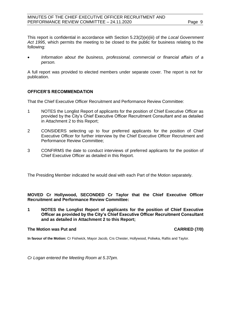This report is confidential in accordance with Section 5.23(2)(e)(iii) of the *Local Government Act 1995*, which permits the meeting to be closed to the public for business relating to the following:

• *Information about the business, professional, commercial or financial affairs of a person.*

A full report was provided to elected members under separate cover. The report is not for publication.

### **OFFICER'S RECOMMENDATION**

That the Chief Executive Officer Recruitment and Performance Review Committee:

- 1 NOTES the Longlist Report of applicants for the position of Chief Executive Officer as provided by the City's Chief Executive Officer Recruitment Consultant and as detailed in Attachment 2 to this Report;
- 2 CONSIDERS selecting up to four preferred applicants for the position of Chief Executive Officer for further interview by the Chief Executive Officer Recruitment and Performance Review Committee;
- 3 CONFIRMS the date to conduct interviews of preferred applicants for the position of Chief Executive Officer as detailed in this Report.

The Presiding Member indicated he would deal with each Part of the Motion separately.

**MOVED Cr Hollywood, SECONDED Cr Taylor that the Chief Executive Officer Recruitment and Performance Review Committee:**

**1 NOTES the Longlist Report of applicants for the position of Chief Executive Officer as provided by the City's Chief Executive Officer Recruitment Consultant and as detailed in Attachment 2 to this Report;**

### **The Motion was Put and CARRIED (7/0)**

**In favour of the Motion:** Cr Fishwick, Mayor Jacob, Crs Chester, Hollywood, Poliwka, Raftis and Taylor.

*Cr Logan entered the Meeting Room at 5.37pm.*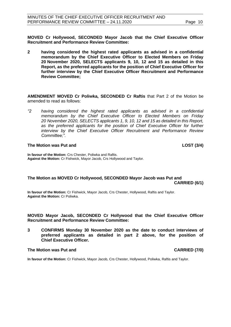**MOVED Cr Hollywood, SECONDED Mayor Jacob that the Chief Executive Officer Recruitment and Performance Review Committee:**

**2 having considered the highest rated applicants as advised in a confidential memorandum by the Chief Executive Officer to Elected Members on Friday 20 November 2020, SELECTS applicants 9, 10, 12 and 15 as detailed in this Report, as the preferred applicants for the position of Chief Executive Officer for further interview by the Chief Executive Officer Recruitment and Performance Review Committee;**

**AMENDMENT MOVED Cr Poliwka, SECONDED Cr Raftis** that Part 2 of the Motion be amended to read as follows:

*"2 having considered the highest rated applicants as advised in a confidential memorandum by the Chief Executive Officer to Elected Members on Friday 20 November 2020, SELECTS applicants 1, 9, 10, 12 and 15 as detailed in this Report, as the preferred applicants for the position of Chief Executive Officer for further interview by the Chief Executive Officer Recruitment and Performance Review Committee;".*

### **The Motion was Put and LOST (3/4)**

**In favour of the Motion:** Crs Chester, Poliwka and Raftis. **Against the Motion:** Cr Fishwick, Mayor Jacob, Crs Hollywood and Taylor.

### **The Motion as MOVED Cr Hollywood, SECONDED Mayor Jacob was Put and CARRIED (6/1)**

**In favour of the Motion:** Cr Fishwick, Mayor Jacob, Crs Chester, Hollywood, Raftis and Taylor. **Against the Motion:** Cr Poliwka.

### **MOVED Mayor Jacob, SECONDED Cr Hollywood that the Chief Executive Officer Recruitment and Performance Review Committee:**

**3 CONFIRMS Monday 30 November 2020 as the date to conduct interviews of preferred applicants as detailed in part 2 above, for the position of Chief Executive Officer.**

### **The Motion was Put and CARRIED (7/0)**

**In favour of the Motion:** Cr Fishwick, Mayor Jacob, Crs Chester, Hollywood, Poliwka, Raftis and Taylor.